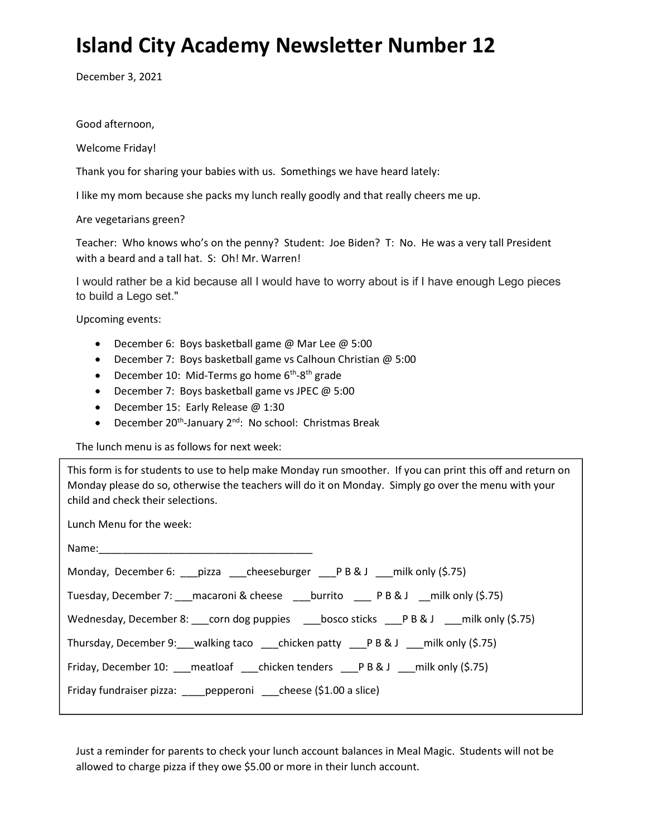## Island City Academy Newsletter Number 12

December 3, 2021

Good afternoon,

Welcome Friday!

Thank you for sharing your babies with us. Somethings we have heard lately:

I like my mom because she packs my lunch really goodly and that really cheers me up.

Are vegetarians green?

Teacher: Who knows who's on the penny? Student: Joe Biden? T: No. He was a very tall President with a beard and a tall hat. S: Oh! Mr. Warren!

I would rather be a kid because all I would have to worry about is if I have enough Lego pieces to build a Lego set."

Upcoming events:

- December 6: Boys basketball game @ Mar Lee @ 5:00
- December 7: Boys basketball game vs Calhoun Christian @ 5:00
- December 10: Mid-Terms go home  $6<sup>th</sup>$ -8<sup>th</sup> grade
- December 7: Boys basketball game vs JPEC @ 5:00
- December 15: Early Release @ 1:30
- **•** December 20<sup>th</sup>-January 2<sup>nd</sup>: No school: Christmas Break

The lunch menu is as follows for next week:

This form is for students to use to help make Monday run smoother. If you can print this off and return on Monday please do so, otherwise the teachers will do it on Monday. Simply go over the menu with your child and check their selections.

Lunch Menu for the week:

| Monday, December 6: ___ pizza ____ cheeseburger ____P B & J ____ milk only (\$.75)                |
|---------------------------------------------------------------------------------------------------|
| Tuesday, December 7: ___ macaroni & cheese ____ burrito _____ P B & J ___ milk only (\$.75)       |
| Wednesday, December 8: ____ corn dog puppies ______bosco sticks ____P B & J ____milk only (\$.75) |
| Thursday, December 9: walking taco chicken patty PB&J milk only (\$.75)                           |
| Friday, December 10: meatloaf chicken tenders PB&J milk only (\$.75)                              |
| Friday fundraiser pizza: ____ pepperoni ___ cheese (\$1.00 a slice)                               |

Just a reminder for parents to check your lunch account balances in Meal Magic. Students will not be allowed to charge pizza if they owe \$5.00 or more in their lunch account.